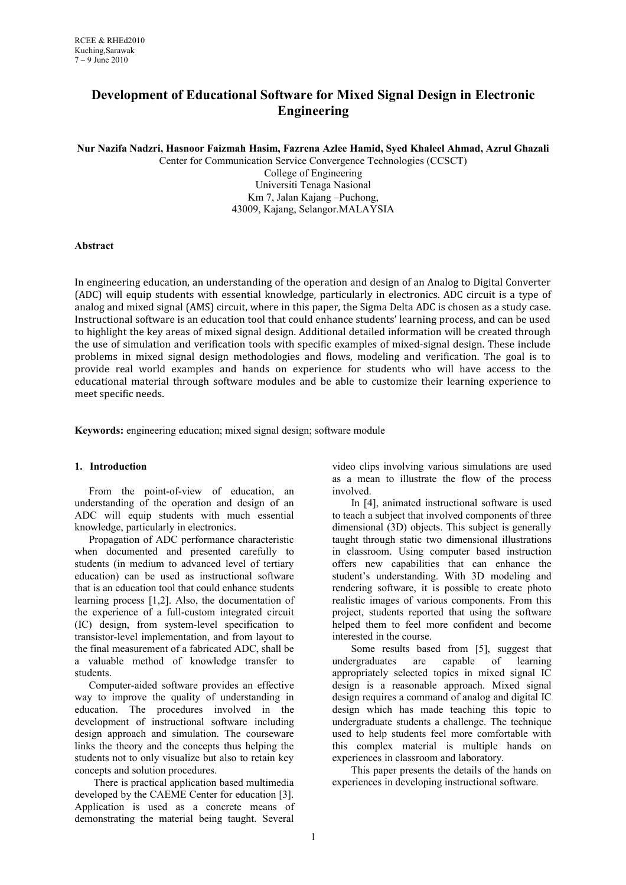# **Development of Educational Software for Mixed Signal Design in Electronic Engineering**

**Nur Nazifa Nadzri, Hasnoor Faizmah Hasim, Fazrena Azlee Hamid, Syed Khaleel Ahmad, Azrul Ghazali**

Center for Communication Service Convergence Technologies (CCSCT) College of Engineering Universiti Tenaga Nasional Km 7, Jalan Kajang –Puchong, 43009, Kajang, Selangor.MALAYSIA

# **Abstract**

In engineering education, an understanding of the operation and design of an Analog to Digital Converter (ADC) will equip students with essential knowledge, particularly in electronics. ADC circuit is a type of analog and mixed signal (AMS) circuit, where in this paper, the Sigma Delta ADC is chosen as a study case. Instructional software is an education tool that could enhance students' learning process, and can be used to highlight the key areas of mixed signal design. Additional detailed information will be created through the use of simulation and verification tools with specific examples of mixed-signal design. These include problems in mixed signal design methodologies and flows, modeling and verification. The goal is to provide real world examples and hands on experience for students who will have access to the educational material through software modules and be able to customize their learning experience to meet specific needs.

**Keywords:** engineering education; mixed signal design; software module

# **1. Introduction**

From the point-of-view of education, an understanding of the operation and design of an ADC will equip students with much essential knowledge, particularly in electronics.

Propagation of ADC performance characteristic when documented and presented carefully to students (in medium to advanced level of tertiary education) can be used as instructional software that is an education tool that could enhance students learning process [1,2]. Also, the documentation of the experience of a full-custom integrated circuit (IC) design, from system-level specification to transistor-level implementation, and from layout to the final measurement of a fabricated ADC, shall be a valuable method of knowledge transfer to students.

Computer-aided software provides an effective way to improve the quality of understanding in education. The procedures involved in the development of instructional software including design approach and simulation. The courseware links the theory and the concepts thus helping the students not to only visualize but also to retain key concepts and solution procedures.

There is practical application based multimedia developed by the CAEME Center for education [3]. Application is used as a concrete means of demonstrating the material being taught. Several video clips involving various simulations are used as a mean to illustrate the flow of the process involved.

In [4], animated instructional software is used to teach a subject that involved components of three dimensional (3D) objects. This subject is generally taught through static two dimensional illustrations in classroom. Using computer based instruction offers new capabilities that can enhance the student's understanding. With 3D modeling and rendering software, it is possible to create photo realistic images of various components. From this project, students reported that using the software helped them to feel more confident and become interested in the course.

Some results based from [5], suggest that undergraduates are capable of learning appropriately selected topics in mixed signal IC design is a reasonable approach. Mixed signal design requires a command of analog and digital IC design which has made teaching this topic to undergraduate students a challenge. The technique used to help students feel more comfortable with this complex material is multiple hands on experiences in classroom and laboratory.

This paper presents the details of the hands on experiences in developing instructional software.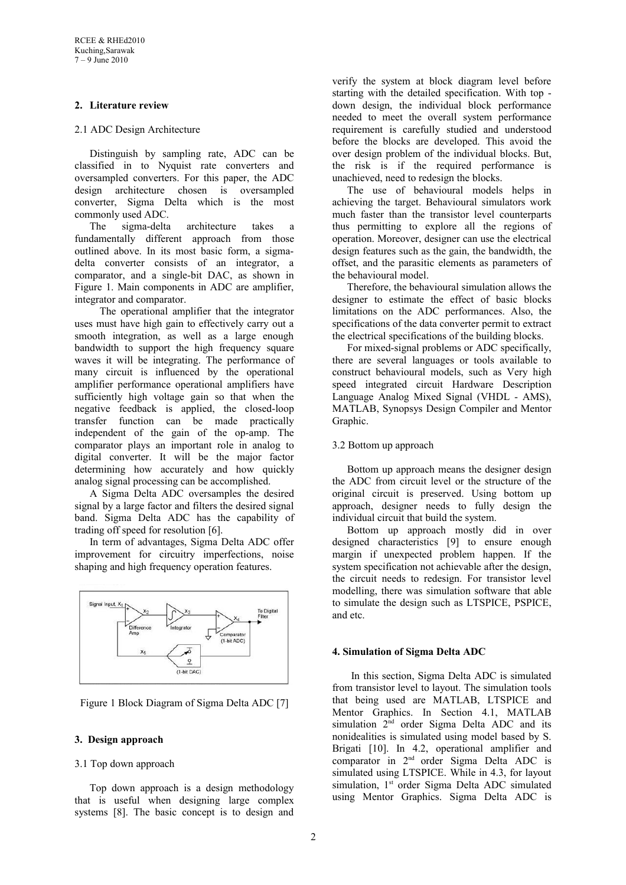# **2. Literature review**

# 2.1 ADC Design Architecture

Distinguish by sampling rate, ADC can be classified in to Nyquist rate converters and oversampled converters. For this paper, the ADC design architecture chosen is oversampled converter, Sigma Delta which is the most commonly used ADC.

The sigma-delta architecture takes a fundamentally different approach from those outlined above. In its most basic form, a sigmadelta converter consists of an integrator, a comparator, and a single-bit DAC, as shown in Figure 1. Main components in ADC are amplifier, integrator and comparator.

The operational amplifier that the integrator uses must have high gain to effectively carry out a smooth integration, as well as a large enough bandwidth to support the high frequency square waves it will be integrating. The performance of many circuit is influenced by the operational amplifier performance operational amplifiers have sufficiently high voltage gain so that when the negative feedback is applied, the closed-loop transfer function can be made practically independent of the gain of the op-amp. The comparator plays an important role in analog to digital converter. It will be the major factor determining how accurately and how quickly analog signal processing can be accomplished.

A Sigma Delta ADC oversamples the desired signal by a large factor and filters the desired signal band. Sigma Delta ADC has the capability of trading off speed for resolution [6].

In term of advantages, Sigma Delta ADC offer improvement for circuitry imperfections, noise shaping and high frequency operation features.



Figure 1 Block Diagram of Sigma Delta ADC [7]

# **3. Design approach**

# 3.1 Top down approach

Top down approach is a design methodology that is useful when designing large complex systems [8]. The basic concept is to design and verify the system at block diagram level before starting with the detailed specification. With top down design, the individual block performance needed to meet the overall system performance requirement is carefully studied and understood before the blocks are developed. This avoid the over design problem of the individual blocks. But, the risk is if the required performance is unachieved, need to redesign the blocks.

The use of behavioural models helps in achieving the target. Behavioural simulators work much faster than the transistor level counterparts thus permitting to explore all the regions of operation. Moreover, designer can use the electrical design features such as the gain, the bandwidth, the offset, and the parasitic elements as parameters of the behavioural model.

Therefore, the behavioural simulation allows the designer to estimate the effect of basic blocks limitations on the ADC performances. Also, the specifications of the data converter permit to extract the electrical specifications of the building blocks.

For mixed-signal problems or ADC specifically, there are several languages or tools available to construct behavioural models, such as Very high speed integrated circuit Hardware Description Language Analog Mixed Signal (VHDL - AMS), MATLAB, Synopsys Design Compiler and Mentor Graphic.

# 3.2 Bottom up approach

Bottom up approach means the designer design the ADC from circuit level or the structure of the original circuit is preserved. Using bottom up approach, designer needs to fully design the individual circuit that build the system.

Bottom up approach mostly did in over designed characteristics [9] to ensure enough margin if unexpected problem happen. If the system specification not achievable after the design, the circuit needs to redesign. For transistor level modelling, there was simulation software that able to simulate the design such as LTSPICE, PSPICE, and etc.

# **4. Simulation of Sigma Delta ADC**

In this section, Sigma Delta ADC is simulated from transistor level to layout. The simulation tools that being used are MATLAB, LTSPICE and Mentor Graphics. In Section 4.1, MATLAB simulation  $2<sup>nd</sup>$  order Sigma Delta ADC and its nonidealities is simulated using model based by S. Brigati [10]. In 4.2, operational amplifier and comparator in 2<sup>nd</sup> order Sigma Delta ADC is simulated using LTSPICE. While in 4.3, for layout simulation, 1<sup>st</sup> order Sigma Delta ADC simulated using Mentor Graphics. Sigma Delta ADC is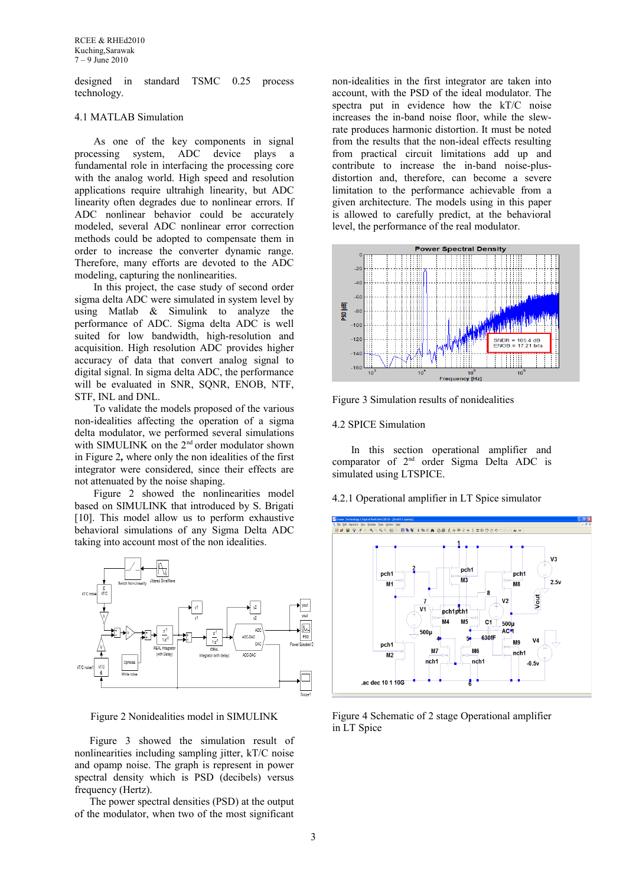designed in standard TSMC 0.25 process technology.

#### 4.1 MATLAB Simulation

As one of the key components in signal processing system, ADC device plays a fundamental role in interfacing the processing core with the analog world. High speed and resolution applications require ultrahigh linearity, but ADC linearity often degrades due to nonlinear errors. If ADC nonlinear behavior could be accurately modeled, several ADC nonlinear error correction methods could be adopted to compensate them in order to increase the converter dynamic range. Therefore, many efforts are devoted to the ADC modeling, capturing the nonlinearities.

In this project, the case study of second order sigma delta ADC were simulated in system level by using Matlab & Simulink to analyze the performance of ADC. Sigma delta ADC is well suited for low bandwidth, high-resolution and acquisition. High resolution ADC provides higher accuracy of data that convert analog signal to digital signal. In sigma delta ADC, the performance will be evaluated in SNR, SQNR, ENOB, NTF, STF, INL and DNL.

To validate the models proposed of the various non-idealities affecting the operation of a sigma delta modulator, we performed several simulations with SIMULINK on the 2<sup>nd</sup> order modulator shown in Figure 2*,* where only the non idealities of the first integrator were considered, since their effects are not attenuated by the noise shaping.

Figure 2 showed the nonlinearities model based on SIMULINK that introduced by S. Brigati [10]. This model allow us to perform exhaustive behavioral simulations of any Sigma Delta ADC taking into account most of the non idealities.



Figure 2 Nonidealities model in SIMULINK

Figure 3 showed the simulation result of nonlinearities including sampling jitter, kT/C noise and opamp noise. The graph is represent in power spectral density which is PSD (decibels) versus frequency (Hertz).

The power spectral densities (PSD) at the output of the modulator, when two of the most significant non-idealities in the first integrator are taken into account, with the PSD of the ideal modulator. The spectra put in evidence how the kT/C noise increases the in-band noise floor, while the slewrate produces harmonic distortion. It must be noted from the results that the non-ideal effects resulting from practical circuit limitations add up and contribute to increase the in-band noise-plusdistortion and, therefore, can become a severe limitation to the performance achievable from a given architecture. The models using in this paper is allowed to carefully predict, at the behavioral level, the performance of the real modulator.



Figure 3 Simulation results of nonidealities

#### 4.2 SPICE Simulation

In this section operational amplifier and comparator of 2nd order Sigma Delta ADC is simulated using LTSPICE.

4.2.1 Operational amplifier in LT Spice simulator



Figure 4 Schematic of 2 stage Operational amplifier in LT Spice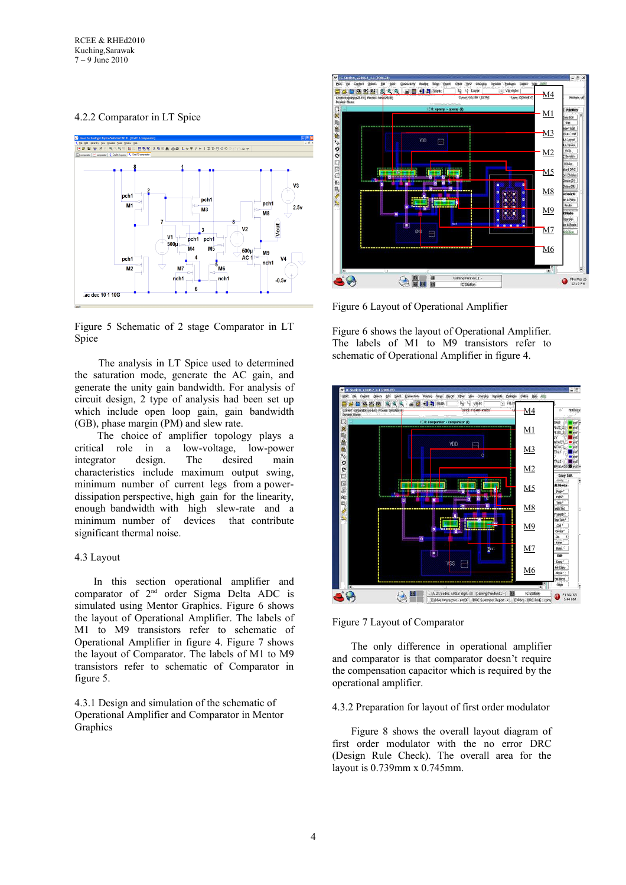# 4.2.2 Comparator in LT Spice



Figure 5 Schematic of 2 stage Comparator in LT Spice

The analysis in LT Spice used to determined the saturation mode, generate the AC gain, and generate the unity gain bandwidth. For analysis of circuit design, 2 type of analysis had been set up which include open loop gain, gain bandwidth (GB), phase margin (PM) and slew rate.

 The choice of amplifier topology plays a critical role in a low-voltage, low-power integrator design. The desired main characteristics include maximum output swing, minimum number of current legs from a powerdissipation perspective, high gain for the linearity, enough bandwidth with high slew-rate and a minimum number of devices that contribute significant thermal noise.

# 4.3 Layout

In this section operational amplifier and comparator of 2nd order Sigma Delta ADC is simulated using Mentor Graphics. Figure 6 shows the layout of Operational Amplifier. The labels of M1 to M9 transistors refer to schematic of Operational Amplifier in figure 4. Figure 7 shows the layout of Comparator. The labels of M1 to M9 transistors refer to schematic of Comparator in figure 5.

4.3.1 Design and simulation of the schematic of Operational Amplifier and Comparator in Mentor **Graphics** 



Figure 6 Layout of Operational Amplifier

Figure 6 shows the layout of Operational Amplifier. The labels of M1 to M9 transistors refer to schematic of Operational Amplifier in figure 4.



Figure 7 Layout of Comparator

The only difference in operational amplifier and comparator is that comparator doesn't require the compensation capacitor which is required by the operational amplifier.

4.3.2 Preparation for layout of first order modulator

Figure 8 shows the overall layout diagram of first order modulator with the no error DRC (Design Rule Check). The overall area for the layout is 0.739mm x 0.745mm.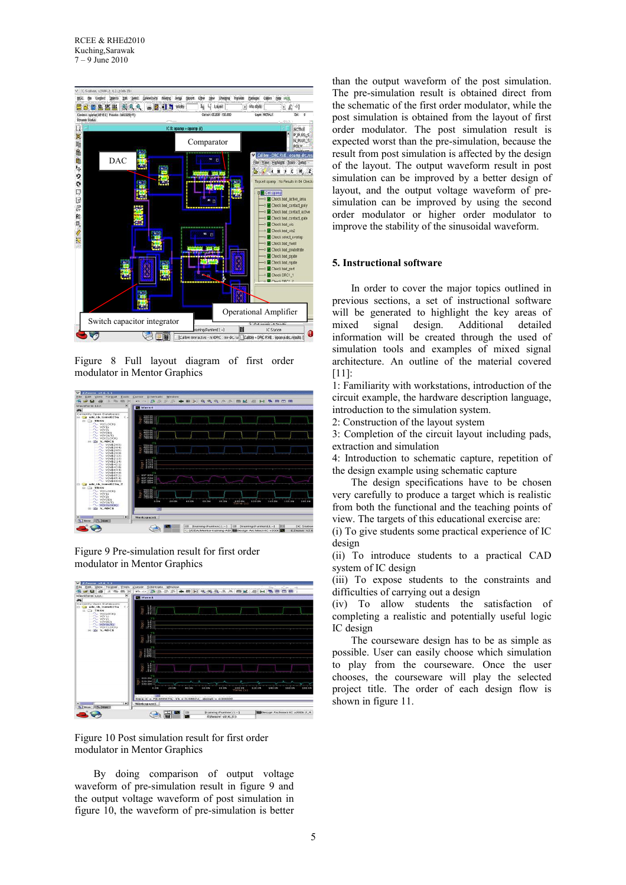

Figure 8 Full layout diagram of first order modulator in Mentor Graphics



Figure 9 Pre-simulation result for first order modulator in Mentor Graphics



Figure 10 Post simulation result for first order modulator in Mentor Graphics

By doing comparison of output voltage waveform of pre-simulation result in figure 9 and the output voltage waveform of post simulation in figure 10, the waveform of pre-simulation is better than the output waveform of the post simulation. The pre-simulation result is obtained direct from the schematic of the first order modulator, while the post simulation is obtained from the layout of first order modulator. The post simulation result is expected worst than the pre-simulation, because the result from post simulation is affected by the design of the layout. The output waveform result in post simulation can be improved by a better design of layout, and the output voltage waveform of presimulation can be improved by using the second order modulator or higher order modulator to improve the stability of the sinusoidal waveform.

#### **5. Instructional software**

In order to cover the major topics outlined in previous sections, a set of instructional software will be generated to highlight the key areas of mixed signal design. Additional detailed information will be created through the used of simulation tools and examples of mixed signal architecture. An outline of the material covered [11]:

1: Familiarity with workstations, introduction of the circuit example, the hardware description language, introduction to the simulation system.

2: Construction of the layout system

3: Completion of the circuit layout including pads, extraction and simulation

4: Introduction to schematic capture, repetition of the design example using schematic capture

The design specifications have to be chosen very carefully to produce a target which is realistic from both the functional and the teaching points of view. The targets of this educational exercise are:

(i) To give students some practical experience of IC design

(ii) To introduce students to a practical CAD system of IC design

(iii) To expose students to the constraints and difficulties of carrying out a design

(iv) To allow students the satisfaction of completing a realistic and potentially useful logic IC design

The courseware design has to be as simple as possible. User can easily choose which simulation to play from the courseware. Once the user chooses, the courseware will play the selected project title. The order of each design flow is shown in figure 11.